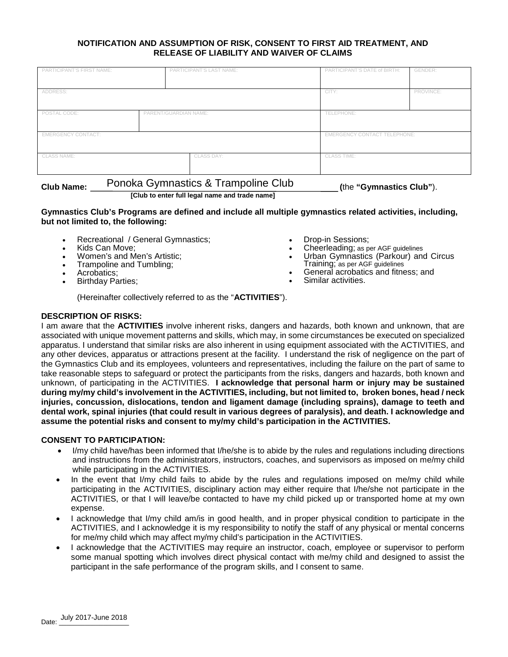### **NOTIFICATION AND ASSUMPTION OF RISK, CONSENT TO FIRST AID TREATMENT, AND RELEASE OF LIABILITY AND WAIVER OF CLAIMS**

| PARTICIPANT'S FIRST NAME: |                       | PARTICIPANT'S LAST NAME:         | PARTICIPANT'S DATE of BIRTH:        | GENDER:   |
|---------------------------|-----------------------|----------------------------------|-------------------------------------|-----------|
|                           |                       |                                  |                                     |           |
| ADDRESS:                  |                       |                                  | CITY:                               | PROVINCE: |
|                           |                       |                                  |                                     |           |
| POSTAL CODE:              | PARENT/GUARDIAN NAME: |                                  | TELEPHONE:                          |           |
|                           |                       |                                  |                                     |           |
| <b>EMERGENCY CONTACT:</b> |                       |                                  | <b>EMERGENCY CONTACT TELEPHONE:</b> |           |
|                           |                       |                                  |                                     |           |
| <b>CLASS NAME:</b>        |                       | CLASS DAY:<br><b>CLASS TIME:</b> |                                     |           |
|                           |                       |                                  |                                     |           |

**Club Name: (**the **"Gymnastics Club"**). Ponoka Gymnastics & Trampoline Club

**[Club to enter full legal name and trade name]**

## **Gymnastics Club's Programs are defined and include all multiple gymnastics related activities, including, but not limited to, the following:**

- Recreational / General Gymnastics;
- Kids Can Move;
- Women's and Men's Artistic;
- Trampoline and Tumbling;
- Acrobatics;
- **Birthday Parties;**
- Drop-in Sessions;
- Cheerleading; as per AGF guidelines
- Urban Gymnastics (Parkour) and Circus Training; as per AGF guidelines
- General acrobatics and fitness; and
- Similar activities.

(Hereinafter collectively referred to as the "**ACTIVITIES**").

# **DESCRIPTION OF RISKS:**

I am aware that the **ACTIVITIES** involve inherent risks, dangers and hazards, both known and unknown, that are associated with unique movement patterns and skills, which may, in some circumstances be executed on specialized apparatus. I understand that similar risks are also inherent in using equipment associated with the ACTIVITIES, and any other devices, apparatus or attractions present at the facility. I understand the risk of negligence on the part of the Gymnastics Club and its employees, volunteers and representatives, including the failure on the part of same to take reasonable steps to safeguard or protect the participants from the risks, dangers and hazards, both known and unknown, of participating in the ACTIVITIES. **I acknowledge that personal harm or injury may be sustained during my/my child's involvement in the ACTIVITIES, including, but not limited to, broken bones, head / neck injuries, concussion, dislocations, tendon and ligament damage (including sprains), damage to teeth and dental work, spinal injuries (that could result in various degrees of paralysis), and death. I acknowledge and assume the potential risks and consent to my/my child's participation in the ACTIVITIES.**

# **CONSENT TO PARTICIPATION:**

- I/my child have/has been informed that I/he/she is to abide by the rules and regulations including directions and instructions from the administrators, instructors, coaches, and supervisors as imposed on me/my child while participating in the ACTIVITIES.
- In the event that I/my child fails to abide by the rules and regulations imposed on me/my child while participating in the ACTIVITIES, disciplinary action may either require that I/he/she not participate in the ACTIVITIES, or that I will leave/be contacted to have my child picked up or transported home at my own expense.
- I acknowledge that I/my child am/is in good health, and in proper physical condition to participate in the ACTIVITIES, and I acknowledge it is my responsibility to notify the staff of any physical or mental concerns for me/my child which may affect my/my child's participation in the ACTIVITIES.
- I acknowledge that the ACTIVITIES may require an instructor, coach, employee or supervisor to perform some manual spotting which involves direct physical contact with me/my child and designed to assist the participant in the safe performance of the program skills, and I consent to same.